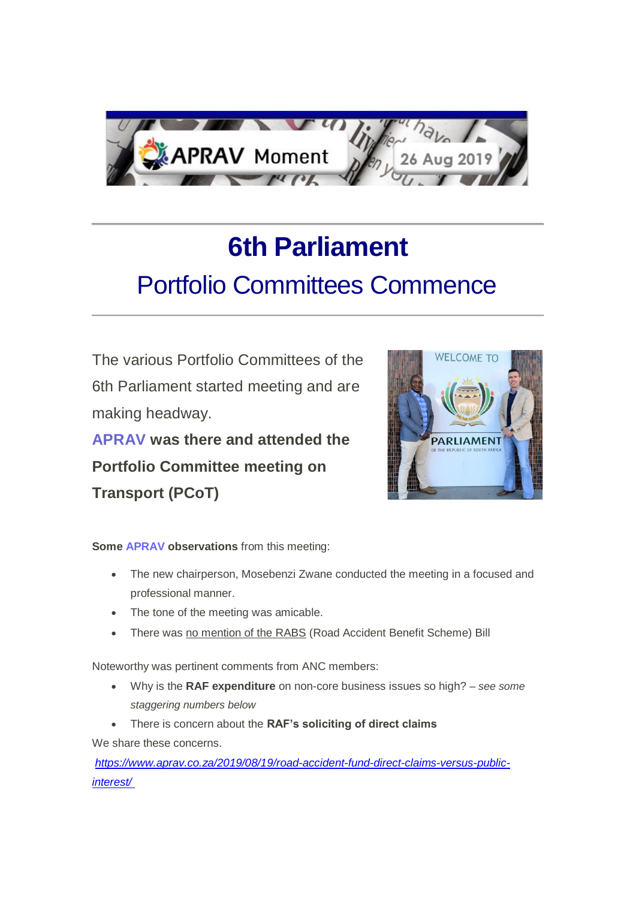

## **6th Parliament** Portfolio Committees Commence

The various Portfolio Committees of the 6th Parliament started meeting and are making headway. **APRAV was there and attended the** 

**Portfolio Committee meeting on Transport (PCoT)**



**Some APRAV observations** from this meeting:

- The new chairperson, Mosebenzi Zwane conducted the meeting in a focused and professional manner.
- The tone of the meeting was amicable.
- There was no mention of the RABS (Road Accident Benefit Scheme) Bill

Noteworthy was pertinent comments from ANC members:

- Why is the **RAF expenditure** on non-core business issues so high? *– see some staggering numbers below*
- There is concern about the **RAF's soliciting of direct claims**

We share these concerns.

*[https://www.aprav.co.za/2019/08/19/road-accident-fund-direct-claims-versus-public](https://us20.mailchimp.com/mctx/click?url=https%3A%2F%2Fwww.aprav.co.za%2F2019%2F08%2F19%2Froad-accident-fund-direct-claims-versus-public-interest%2F&xid=ce9d854e5d&uid=110013942&pool=&subject=)[interest/](https://us20.mailchimp.com/mctx/click?url=https%3A%2F%2Fwww.aprav.co.za%2F2019%2F08%2F19%2Froad-accident-fund-direct-claims-versus-public-interest%2F&xid=ce9d854e5d&uid=110013942&pool=&subject=)*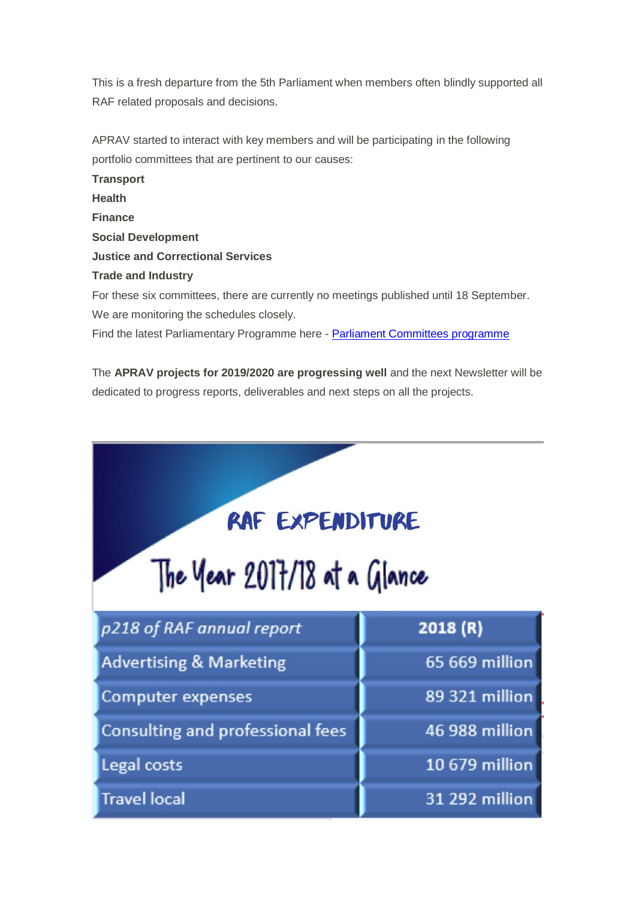This is a fresh departure from the 5th Parliament when members often blindly supported all RAF related proposals and decisions.

APRAV started to interact with key members and will be participating in the following portfolio committees that are pertinent to our causes:

**Transport Health Finance Social Development Justice and Correctional Services Trade and Industry** For these six committees, there are currently no meetings published until 18 September. We are monitoring the schedules closely.

Find the latest Parliamentary Programme here - [Parliament Committees programme](https://us20.mailchimp.com/mctx/click?url=https%3A%2F%2Fwww.parliament.gov.za%2Fstorage%2Fapp%2Fmedia%2FDocs%2Fzlist%2F41e65a52-103a-45cb-9825-aff5bfe79c19.pdf&xid=ce9d854e5d&uid=110013942&pool=&subject=)

The **APRAV projects for 2019/2020 are progressing well** and the next Newsletter will be dedicated to progress reports, deliverables and next steps on all the projects.

| RAF EXPENDITURE<br>The Year 2017/18 at a Glance |                |  |  |  |
|-------------------------------------------------|----------------|--|--|--|
| p218 of RAF annual report                       | 2018(R)        |  |  |  |
| <b>Advertising &amp; Marketing</b>              | 65 669 million |  |  |  |
| <b>Computer expenses</b>                        | 89 321 million |  |  |  |
| Consulting and professional fees                | 46 988 million |  |  |  |
| Legal costs                                     | 10 679 million |  |  |  |
| <b>Travel local</b>                             | 31 292 million |  |  |  |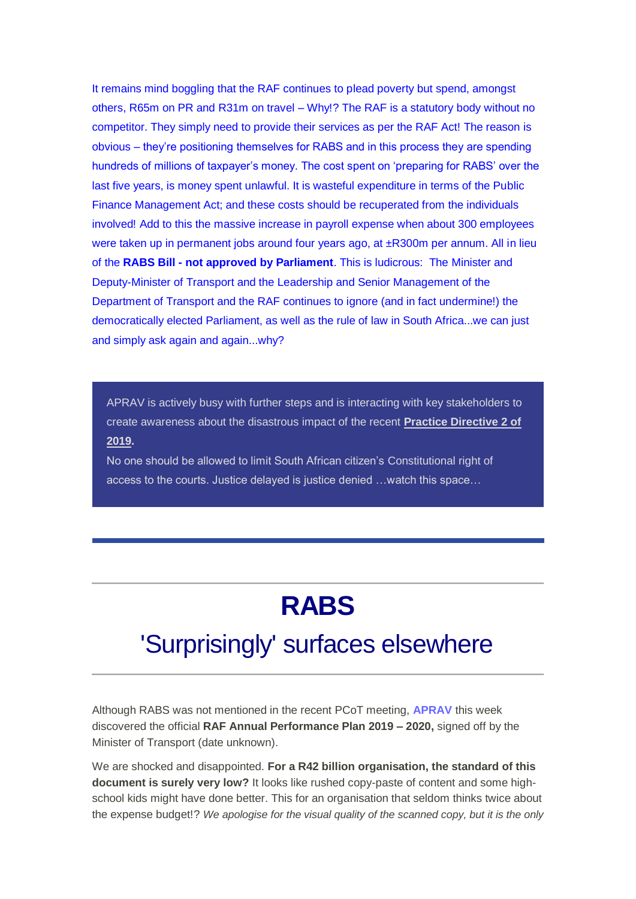It remains mind boggling that the RAF continues to plead poverty but spend, amongst others, R65m on PR and R31m on travel – Why!? The RAF is a statutory body without no competitor. They simply need to provide their services as per the RAF Act! The reason is obvious – they're positioning themselves for RABS and in this process they are spending hundreds of millions of taxpayer's money. The cost spent on 'preparing for RABS' over the last five years, is money spent unlawful. It is wasteful expenditure in terms of the Public Finance Management Act; and these costs should be recuperated from the individuals involved! Add to this the massive increase in payroll expense when about 300 employees were taken up in permanent jobs around four years ago, at ±R300m per annum. All in lieu of the **RABS Bill - not approved by Parliament**. This is ludicrous: The Minister and Deputy-Minister of Transport and the Leadership and Senior Management of the Department of Transport and the RAF continues to ignore (and in fact undermine!) the democratically elected Parliament, as well as the rule of law in South Africa...we can just and simply ask again and again...why?

APRAV is actively busy with further steps and is interacting with key stakeholders to create awareness about the disastrous impact of the recent **Practice Directive 2 of 2019.**

No one should be allowed to limit South African citizen's Constitutional right of access to the courts. Justice delayed is justice denied …watch this space…

## **RABS**

## 'Surprisingly' surfaces elsewhere

Although RABS was not mentioned in the recent PCoT meeting, **APRAV** this week discovered the official **RAF Annual Performance Plan 2019 – 2020,** signed off by the Minister of Transport (date unknown).

We are shocked and disappointed. **For a R42 billion organisation, the standard of this document is surely very low?** It looks like rushed copy-paste of content and some highschool kids might have done better. This for an organisation that seldom thinks twice about the expense budget!? *We apologise for the visual quality of the scanned copy, but it is the only*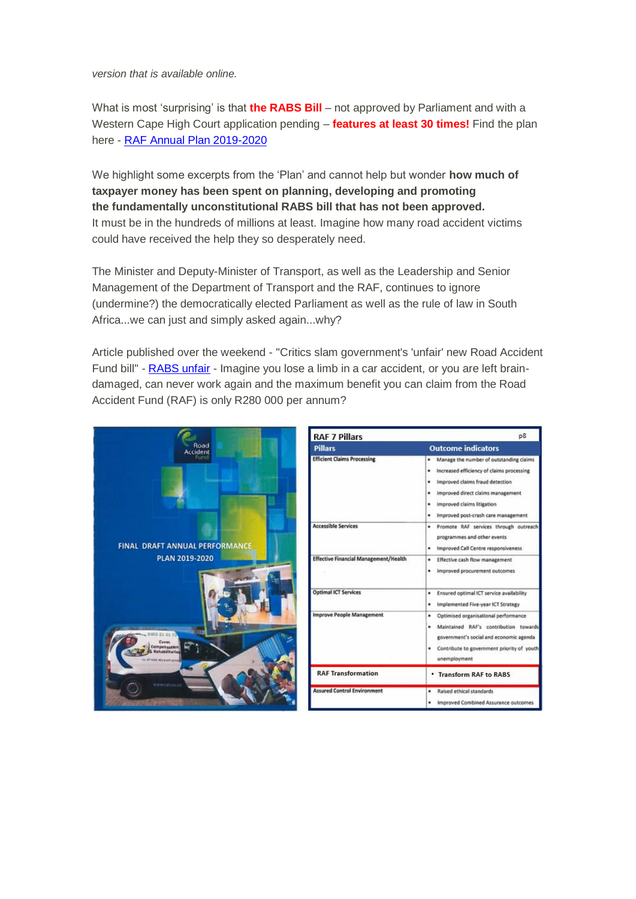*version that is available online.*

What is most 'surprising' is that **the RABS Bill** – not approved by Parliament and with a Western Cape High Court application pending – **features at least 30 times!** Find the plan here - [R](https://us20.mailchimp.com/mctx/click?url=http%3A%2F%2Fbit.ly%2F2MyILqi&xid=ce9d854e5d&uid=110013942&pool=&subject=)[AF Annual Plan 2019-2020](https://us20.mailchimp.com/mctx/click?url=https%3A%2F%2Fwww.aprav.co.za%2Fwp-content%2Fuploads%2F2019%2F08%2FRAF_Annual-Plan_2019_2020.pdf&xid=ce9d854e5d&uid=110013942&pool=&subject=)

We highlight some excerpts from the 'Plan' and cannot help but wonder **how much of taxpayer money has been spent on planning, developing and promoting the fundamentally unconstitutional RABS bill that has not been approved.** It must be in the hundreds of millions at least. Imagine how many road accident victims could have received the help they so desperately need.

The Minister and Deputy-Minister of Transport, as well as the Leadership and Senior Management of the Department of Transport and the RAF, continues to ignore (undermine?) the democratically elected Parliament as well as the rule of law in South Africa...we can just and simply asked again...why?

Article published over the weekend - "Critics slam government's 'unfair' new Road Accident Fund bill" - [R](https://us20.mailchimp.com/mctx/click?url=https%3A%2F%2Fbit.ly%2F2KWbAer%3Ffbclid%3DIwAR2FFg7QXejTrFnYnInGlmnx72NLwPXGO-qwcDPOdvdd2WQ4ZyxJCrrUIzA&xid=ce9d854e5d&uid=110013942&pool=&subject=)[ABS unfair](https://us20.mailchimp.com/mctx/click?url=https%3A%2F%2Fwww.aprav.co.za%2F2019%2F08%2F26%2Fcritics-slam-governments-unfair-new-road-accident-fund-bill%2F&xid=ce9d854e5d&uid=110013942&pool=&subject=) - Imagine you lose a limb in a car accident, or you are left braindamaged, can never work again and the maximum benefit you can claim from the Road Accident Fund (RAF) is only R280 000 per annum?

|                                              | <b>RAF 7 Pillars</b>                         | p8                                                                                                                                                                                                                                                        |
|----------------------------------------------|----------------------------------------------|-----------------------------------------------------------------------------------------------------------------------------------------------------------------------------------------------------------------------------------------------------------|
| Road<br>Accident                             | <b>Pillars</b>                               | <b>Outcome indicators</b>                                                                                                                                                                                                                                 |
|                                              | <b>Efficient Claims Processing</b>           | . Manage the number of outstanding claims<br>Increased efficiency of claims processing<br>٠<br>Improved claims fraud detection<br>٠<br>Improved direct claims management<br>٠<br>Improved claims litigation<br>٠<br>· Improved post-crash care management |
| <b>FINAL DRAFT ANNUAL PERFORMANCE</b>        | <b>Accessible Services</b>                   | · Promote RAF services through outreach<br>programmes and other events<br>Improved Call Centre responsiveness<br>٠                                                                                                                                        |
| PLAN 2019-2020                               | <b>Effective Financial Management/Health</b> | Effective cash flow management<br>٠<br>Improved procurement outcomes<br>٠                                                                                                                                                                                 |
|                                              | <b>Optimal ICT Services</b>                  | Ensured optimal ICT service availability<br>٠<br>Implemented Five-year ICT Strategy<br>٠                                                                                                                                                                  |
| <b>Compensation</b><br>able afford with wind | <b>Improve People Management</b>             | Optimised organisational performance<br>٠<br>Maintained RAF's contribution towards<br>٠<br>government's social and economic agenda<br>Contribute to government priority of youth<br>٠<br>unemployment                                                     |
|                                              | <b>RAF Transformation</b>                    | • Transform RAF to RABS                                                                                                                                                                                                                                   |
| <b>NORTHERN COURSE</b>                       | <b>Assured Control Environment</b>           | · Raised ethical standards<br>Improved Combined Assurance outcomes<br>٠                                                                                                                                                                                   |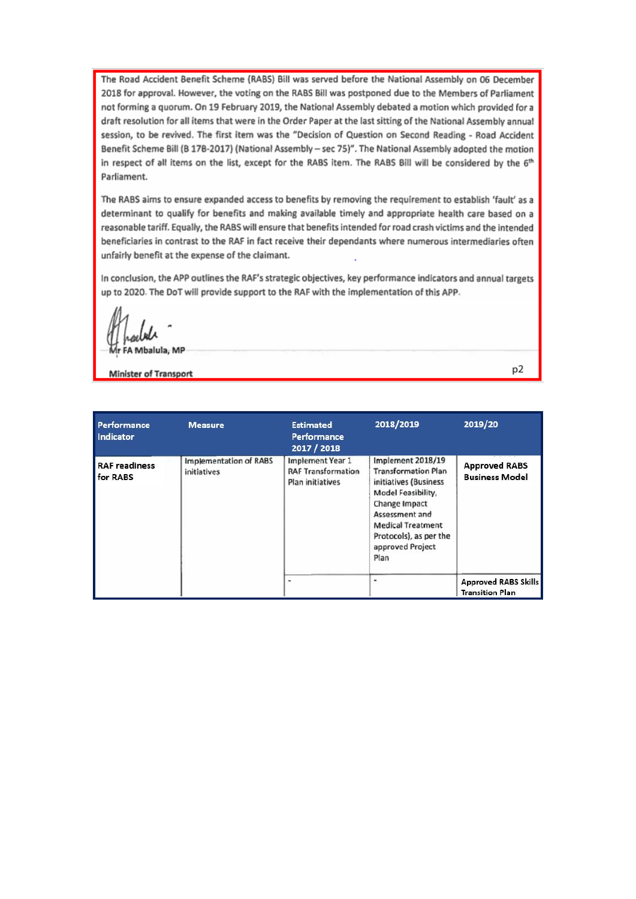The Road Accident Benefit Scheme (RABS) Bill was served before the National Assembly on 06 December 2018 for approval. However, the voting on the RABS Bill was postponed due to the Members of Parliament not forming a quorum. On 19 February 2019, the National Assembly debated a motion which provided for a draft resolution for all items that were in the Order Paper at the last sitting of the National Assembly annual session, to be revived. The first item was the "Decision of Question on Second Reading - Road Accident Benefit Scheme Bill (B 178-2017) (National Assembly - sec 75)". The National Assembly adopted the motion in respect of all items on the list, except for the RABS item. The RABS Bill will be considered by the 6th Parliament.

The RABS aims to ensure expanded access to benefits by removing the requirement to establish 'fault' as a determinant to qualify for benefits and making available timely and appropriate health care based on a reasonable tariff. Equally, the RABS will ensure that benefits intended for road crash victims and the intended beneficiaries in contrast to the RAF in fact receive their dependants where numerous intermediaries often unfairly benefit at the expense of the claimant.

In conclusion, the APP outlines the RAF's strategic objectives, key performance indicators and annual targets up to 2020. The DoT will provide support to the RAF with the implementation of this APP.

Mbalula, MP

**Minister of Transport** 

p2

| Performance<br>Indicator         | <b>Measure</b>                               | <b>Estimated</b><br>Performance<br>2017 / 2018                           | 2018/2019                                                                                                                                                                                                           | 2019/20                                               |
|----------------------------------|----------------------------------------------|--------------------------------------------------------------------------|---------------------------------------------------------------------------------------------------------------------------------------------------------------------------------------------------------------------|-------------------------------------------------------|
| <b>RAF readiness</b><br>for RABS | <b>Implementation of RABS</b><br>initiatives | <b>Implement Year 1</b><br><b>RAF Transformation</b><br>Plan initiatives | Implement 2018/19<br><b>Transformation Plan</b><br>initiatives (Business<br>Model Feasibility,<br>Change Impact<br>Assessment and<br><b>Medical Treatment</b><br>Protocols), as per the<br>approved Project<br>Plan | <b>Approved RABS</b><br><b>Business Model</b>         |
|                                  |                                              |                                                                          | ۰                                                                                                                                                                                                                   | <b>Approved RABS Skills</b><br><b>Transition Plan</b> |